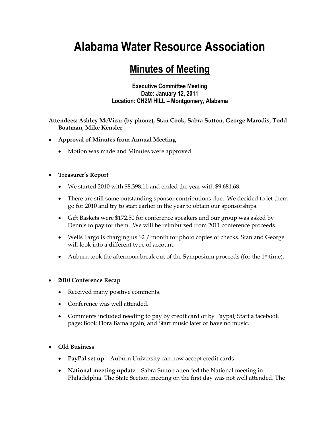# **Alabama Water Resource Association**

## **Minutes of Meeting**

#### **Executive Committee Meeting Date: January 12, 2011 Location: CH2M HILL – Montgomery, Alabama**

**Attendees: Ashley McVicar (by phone), Stan Cook, Sabra Sutton, George Marodis, Todd Boatman, Mike Kensler**

- **Approval of Minutes from Annual Meeting**
	- Motion was made and Minutes were approved

### **Treasurer's Report**

- We started 2010 with \$8,398.11 and ended the year with \$9,681.68.
- There are still some outstanding sponsor contributions due. We decided to let them go for 2010 and try to start earlier in the year to obtain our sponsorships.
- Gift Baskets were \$172.50 for conference speakers and our group was asked by Dennis to pay for them. We will be reimbursed from 2011 conference proceeds.
- Wells Fargo is charging us \$2 / month for photo copies of checks. Stan and George will look into a different type of account.
- Auburn took the afternoon break out of the Symposium proceeds (for the 1<sup>st</sup> time).

### **2010 Conference Recap**

- Received many positive comments.
- Conference was well attended.
- Comments included needing to pay by credit card or by Paypal; Start a facebook page; Book Flora Bama again; and Start music later or have no music.

### **Old Business**

- **PayPal set up** Auburn University can now accept credit cards
- **National meeting update** Sabra Sutton attended the National meeting in Philadelphia. The State Section meeting on the first day was not well attended. The